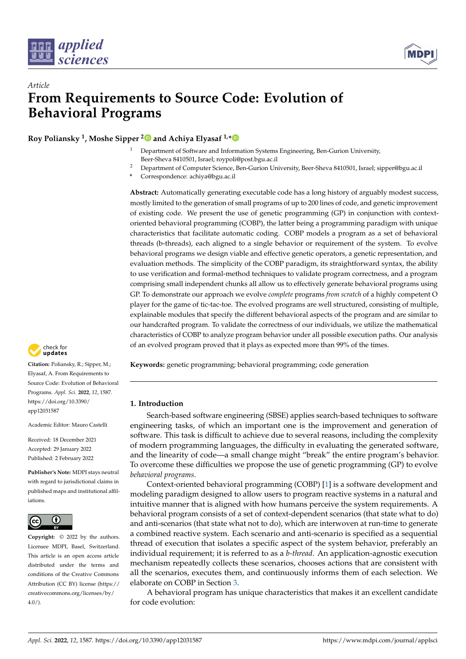



# *Article* **From Requirements to Source Code: Evolution of Behavioral Programs**

**Roy Poliansky <sup>1</sup> , Moshe Sipper [2](https://orcid.org/0000-0003-1811-472X) and Achiya Elyasaf 1,[\\*](https://orcid.org/0000-0002-4009-5353)**

- <sup>1</sup> Department of Software and Information Systems Engineering, Ben-Gurion University, Beer-Sheva 8410501, Israel; roypoli@post.bgu.ac.il
- <sup>2</sup> Department of Computer Science, Ben-Gurion University, Beer-Sheva 8410501, Israel; sipper@bgu.ac.il
- **\*** Correspondence: achiya@bgu.ac.il

**Abstract:** Automatically generating executable code has a long history of arguably modest success, mostly limited to the generation of small programs of up to 200 lines of code, and genetic improvement of existing code. We present the use of genetic programming (GP) in conjunction with contextoriented behavioral programming (COBP), the latter being a programming paradigm with unique characteristics that facilitate automatic coding. COBP models a program as a set of behavioral threads (b-threads), each aligned to a single behavior or requirement of the system. To evolve behavioral programs we design viable and effective genetic operators, a genetic representation, and evaluation methods. The simplicity of the COBP paradigm, its straightforward syntax, the ability to use verification and formal-method techniques to validate program correctness, and a program comprising small independent chunks all allow us to effectively generate behavioral programs using GP. To demonstrate our approach we evolve *complete* programs *from scratch* of a highly competent O player for the game of tic-tac-toe. The evolved programs are well structured, consisting of multiple, explainable modules that specify the different behavioral aspects of the program and are similar to our handcrafted program. To validate the correctness of our individuals, we utilize the mathematical characteristics of COBP to analyze program behavior under all possible execution paths. Our analysis of an evolved program proved that it plays as expected more than 99% of the times.

**Keywords:** genetic programming; behavioral programming; code generation

## **1. Introduction**

Search-based software engineering (SBSE) applies search-based techniques to software engineering tasks, of which an important one is the improvement and generation of software. This task is difficult to achieve due to several reasons, including the complexity of modern programming languages, the difficulty in evaluating the generated software, and the linearity of code—a small change might "break" the entire program's behavior. To overcome these difficulties we propose the use of genetic programming (GP) to evolve *behavioral programs*.

Context-oriented behavioral programming (COBP) [\[1\]](#page-14-0) is a software development and modeling paradigm designed to allow users to program reactive systems in a natural and intuitive manner that is aligned with how humans perceive the system requirements. A behavioral program consists of a set of context-dependent scenarios (that state what to do) and anti-scenarios (that state what not to do), which are interwoven at run-time to generate a combined reactive system. Each scenario and anti-scenario is specified as a sequential thread of execution that isolates a specific aspect of the system behavior, preferably an individual requirement; it is referred to as a *b-thread*. An application-agnostic execution mechanism repeatedly collects these scenarios, chooses actions that are consistent with all the scenarios, executes them, and continuously informs them of each selection. We elaborate on COBP in Section [3.](#page-2-0)

A behavioral program has unique characteristics that makes it an excellent candidate for code evolution:



**Citation:** Poliansky, R.; Sipper, M.; Elyasaf, A. From Requirements to Source Code: Evolution of Behavioral Programs. *Appl. Sci.* **2022**, *12*, 1587. [https://doi.org/10.3390/](https://doi.org/10.3390/app12031587) [app12031587](https://doi.org/10.3390/app12031587)

Academic Editor: Mauro Castelli

Received: 18 December 2021 Accepted: 29 January 2022 Published: 2 February 2022

**Publisher's Note:** MDPI stays neutral with regard to jurisdictional claims in published maps and institutional affiliations.



**Copyright:** © 2022 by the authors. Licensee MDPI, Basel, Switzerland. This article is an open access article distributed under the terms and conditions of the Creative Commons Attribution (CC BY) license [\(https://](https://creativecommons.org/licenses/by/4.0/) [creativecommons.org/licenses/by/](https://creativecommons.org/licenses/by/4.0/)  $4.0/$ ).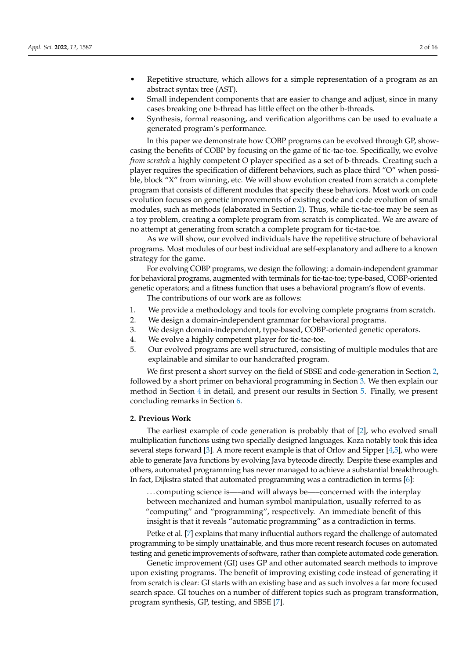- Repetitive structure, which allows for a simple representation of a program as an abstract syntax tree (AST).
- Small independent components that are easier to change and adjust, since in many cases breaking one b-thread has little effect on the other b-threads.
- Synthesis, formal reasoning, and verification algorithms can be used to evaluate a generated program's performance.

In this paper we demonstrate how COBP programs can be evolved through GP, showcasing the benefits of COBP by focusing on the game of tic-tac-toe. Specifically, we evolve *from scratch* a highly competent O player specified as a set of b-threads. Creating such a player requires the specification of different behaviors, such as place third "O" when possible, block "X" from winning, etc. We will show evolution created from scratch a complete program that consists of different modules that specify these behaviors. Most work on code evolution focuses on genetic improvements of existing code and code evolution of small modules, such as methods (elaborated in Section [2\)](#page-1-0). Thus, while tic-tac-toe may be seen as a toy problem, creating a complete program from scratch is complicated. We are aware of no attempt at generating from scratch a complete program for tic-tac-toe.

As we will show, our evolved individuals have the repetitive structure of behavioral programs. Most modules of our best individual are self-explanatory and adhere to a known strategy for the game.

For evolving COBP programs, we design the following: a domain-independent grammar for behavioral programs, augmented with terminals for tic-tac-toe; type-based, COBP-oriented genetic operators; and a fitness function that uses a behavioral program's flow of events.

The contributions of our work are as follows:

- 1. We provide a methodology and tools for evolving complete programs from scratch.
- 2. We design a domain-independent grammar for behavioral programs.
- 3. We design domain-independent, type-based, COBP-oriented genetic operators.
- 4. We evolve a highly competent player for tic-tac-toe.
- 5. Our evolved programs are well structured, consisting of multiple modules that are explainable and similar to our handcrafted program.

We first present a short survey on the field of SBSE and code-generation in Section [2,](#page-1-0) followed by a short primer on behavioral programming in Section [3.](#page-2-0) We then explain our method in Section [4](#page-7-0) in detail, and present our results in Section [5.](#page-10-0) Finally, we present concluding remarks in Section [6.](#page-13-0)

#### <span id="page-1-0"></span>**2. Previous Work**

The earliest example of code generation is probably that of [\[2\]](#page-14-1), who evolved small multiplication functions using two specially designed languages. Koza notably took this idea several steps forward [\[3\]](#page-14-2). A more recent example is that of Orlov and Sipper [\[4,](#page-14-3)[5\]](#page-14-4), who were able to generate Java functions by evolving Java bytecode directly. Despite these examples and others, automated programming has never managed to achieve a substantial breakthrough. In fact, Dijkstra stated that automated programming was a contradiction in terms [\[6\]](#page-14-5):

. . . computing science is—–and will always be—–concerned with the interplay between mechanized and human symbol manipulation, usually referred to as "computing" and "programming", respectively. An immediate benefit of this insight is that it reveals "automatic programming" as a contradiction in terms.

Petke et al. [\[7\]](#page-14-6) explains that many influential authors regard the challenge of automated programming to be simply unattainable, and thus more recent research focuses on automated testing and genetic improvements of software, rather than complete automated code generation.

Genetic improvement (GI) uses GP and other automated search methods to improve upon existing programs. The benefit of improving existing code instead of generating it from scratch is clear: GI starts with an existing base and as such involves a far more focused search space. GI touches on a number of different topics such as program transformation, program synthesis, GP, testing, and SBSE [\[7\]](#page-14-6).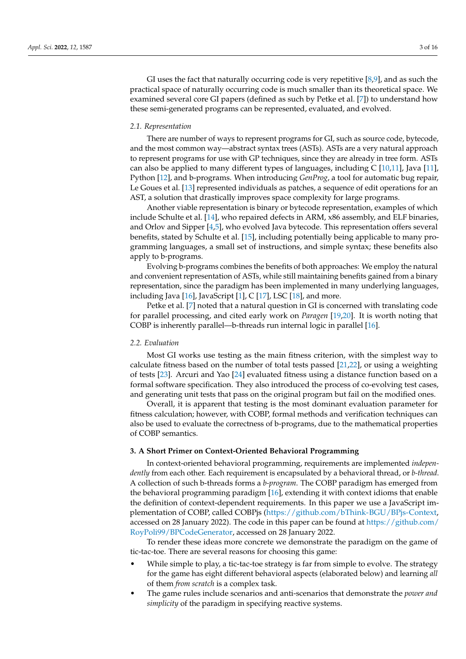GI uses the fact that naturally occurring code is very repetitive  $[8,9]$  $[8,9]$ , and as such the practical space of naturally occurring code is much smaller than its theoretical space. We examined several core GI papers (defined as such by Petke et al. [\[7\]](#page-14-6)) to understand how these semi-generated programs can be represented, evaluated, and evolved.

#### *2.1. Representation*

There are number of ways to represent programs for GI, such as source code, bytecode, and the most common way—abstract syntax trees (ASTs). ASTs are a very natural approach to represent programs for use with GP techniques, since they are already in tree form. ASTs can also be applied to many different types of languages, including  $C$  [\[10,](#page-14-9)[11\]](#page-14-10), Java [\[11\]](#page-14-10), Python [\[12\]](#page-14-11), and b-programs. When introducing *GenProg*, a tool for automatic bug repair, Le Goues et al. [\[13\]](#page-14-12) represented individuals as patches, a sequence of edit operations for an AST, a solution that drastically improves space complexity for large programs.

Another viable representation is binary or bytecode representation, examples of which include Schulte et al. [\[14\]](#page-14-13), who repaired defects in ARM, x86 assembly, and ELF binaries, and Orlov and Sipper [\[4](#page-14-3)[,5\]](#page-14-4), who evolved Java bytecode. This representation offers several benefits, stated by Schulte et al. [\[15\]](#page-14-14), including potentially being applicable to many programming languages, a small set of instructions, and simple syntax; these benefits also apply to b-programs.

Evolving b-programs combines the benefits of both approaches: We employ the natural and convenient representation of ASTs, while still maintaining benefits gained from a binary representation, since the paradigm has been implemented in many underlying languages, including Java [\[16\]](#page-14-15), JavaScript [\[1\]](#page-14-0), C [\[17\]](#page-14-16), LSC [\[18\]](#page-14-17), and more.

Petke et al. [\[7\]](#page-14-6) noted that a natural question in GI is concerned with translating code for parallel processing, and cited early work on *Paragen* [\[19,](#page-14-18)[20\]](#page-15-0). It is worth noting that COBP is inherently parallel—b-threads run internal logic in parallel [\[16\]](#page-14-15).

## *2.2. Evaluation*

Most GI works use testing as the main fitness criterion, with the simplest way to calculate fitness based on the number of total tests passed [\[21,](#page-15-1)[22\]](#page-15-2), or using a weighting of tests [\[23\]](#page-15-3). Arcuri and Yao [\[24\]](#page-15-4) evaluated fitness using a distance function based on a formal software specification. They also introduced the process of co-evolving test cases, and generating unit tests that pass on the original program but fail on the modified ones.

Overall, it is apparent that testing is the most dominant evaluation parameter for fitness calculation; however, with COBP, formal methods and verification techniques can also be used to evaluate the correctness of b-programs, due to the mathematical properties of COBP semantics.

#### <span id="page-2-0"></span>**3. A Short Primer on Context-Oriented Behavioral Programming**

In context-oriented behavioral programming, requirements are implemented *independently* from each other. Each requirement is encapsulated by a behavioral thread, or *b-thread*. A collection of such b-threads forms a *b-program*. The COBP paradigm has emerged from the behavioral programming paradigm [\[16\]](#page-14-15), extending it with context idioms that enable the definition of context-dependent requirements. In this paper we use a JavaScript implementation of COBP, called COBPjs [\(https://github.com/bThink-BGU/BPjs-Context,](https://github.com/bThink-BGU/BPjs-Context) accessed on 28 January 2022). The code in this paper can be found at  $\frac{https://github.com/}{https://github.com/}$  $\frac{https://github.com/}{https://github.com/}$  $\frac{https://github.com/}{https://github.com/}$ [RoyPoli99/BPCodeGenerator,](https://github.com/RoyPoli99/BPCodeGenerator) accessed on 28 January 2022.

To render these ideas more concrete we demonstrate the paradigm on the game of tic-tac-toe. There are several reasons for choosing this game:

- While simple to play, a tic-tac-toe strategy is far from simple to evolve. The strategy for the game has eight different behavioral aspects (elaborated below) and learning *all* of them *from scratch* is a complex task.
- The game rules include scenarios and anti-scenarios that demonstrate the *power and simplicity* of the paradigm in specifying reactive systems.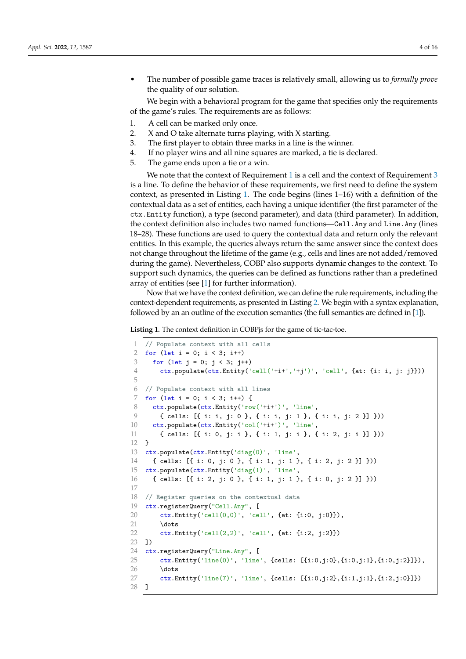• The number of possible game traces is relatively small, allowing us to *formally prove* the quality of our solution.

We begin with a behavioral program for the game that specifies only the requirements of the game's rules. The requirements are as follows:

- <span id="page-3-0"></span>1. A cell can be marked only once.
- <span id="page-3-4"></span>2. X and O take alternate turns playing, with X starting.
- <span id="page-3-1"></span>3. The first player to obtain three marks in a line is the winner.
- <span id="page-3-5"></span>4. If no player wins and all nine squares are marked, a tie is declared.
- <span id="page-3-6"></span>5. The game ends upon a tie or a win.

We note that the context of Requirement [1](#page-3-0) is a cell and the context of Requirement [3](#page-3-1) is a line. To define the behavior of these requirements, we first need to define the system context, as presented in Listing [1.](#page-3-2) The code begins (lines 1–16) with a definition of the contextual data as a set of entities, each having a unique identifier (the first parameter of the ctx.Entity function), a type (second parameter), and data (third parameter). In addition, the context definition also includes two named functions—Cell.Any and Line.Any (lines 18–28). These functions are used to query the contextual data and return only the relevant entities. In this example, the queries always return the same answer since the context does not change throughout the lifetime of the game (e.g., cells and lines are not added/removed during the game). Nevertheless, COBP also supports dynamic changes to the context. To support such dynamics, the queries can be defined as functions rather than a predefined array of entities (see [\[1\]](#page-14-0) for further information).

Now that we have the context definition, we can define the rule requirements, including the context-dependent requirements, as presented in Listing [2.](#page-3-3) We begin with a syntax explanation, followed by an an outline of the execution semantics (the full semantics are defined in [\[1\]](#page-14-0)).

<span id="page-3-2"></span>**Listing 1.** The context definition in COBPjs for the game of tic-tac-toe.

```
1 // Populate context with all cells
2 | for (let i = 0; i < 3; i++)3 \mid for (let j = 0; j < 3; j++)4 ctx.populate(ctx.Entity('cell('+i+','+j')', 'cell', {at: {i: i, j: j}}))
5
6 // Populate context with all lines
7 for (let i = 0; i < 3; i++) {
8 ctx.populate(ctx.Entity('row('+i+')', 'line',
9 \left\{ (cells: [{ i: i, j: 0 }, { i: i, j: 1 }, { i: i, j: 2 }] }))
10 ctx.populate(ctx.Entity('col('+i+')', 'line',
11 \{ cells: [\{ i: 0, j: i \}, \{ i: 1, j: i \}, \{ i: 2, j: i \}]12 }
13 ctx.populate(ctx.Entity('diag(0)', 'line',
14 { cells: [{ i: 0, j: 0 }, { i: 1, j: 1 }, { i: 2, j: 2 }] }))
15 ctx.populate(ctx.Entity('diag(1)', 'line',16 { cells: [{ i: 2, j: 0 }, { i: 1, j: 1 }, { i: 0, j: 2 }] }))
17
18 // Register queries on the contextual data
19 ctx.registerQuery("Cell.Any", [
20 ctx.Entity('cell(0,0)', 'cell', {at: {i:0, j:0}}),
21 \dots
22 ctx.Entity('cell(2,2)', 'cell', {at: {i:2, j:2}})
23 \mid 124 ctx. \nregisterQuery("Line. Any", [25 ctx.Entity('line(0)', 'line', {cells: [{i:0,j:0}, {i:0,j:1}, {i:0,j:2}]}),
26 \dots
27 ctx.Entity('line(7)', 'line', {cells: [\{i:0,j:2\},\{i:1,j:1\},\{i:2,j:0\}]\})28 ]
```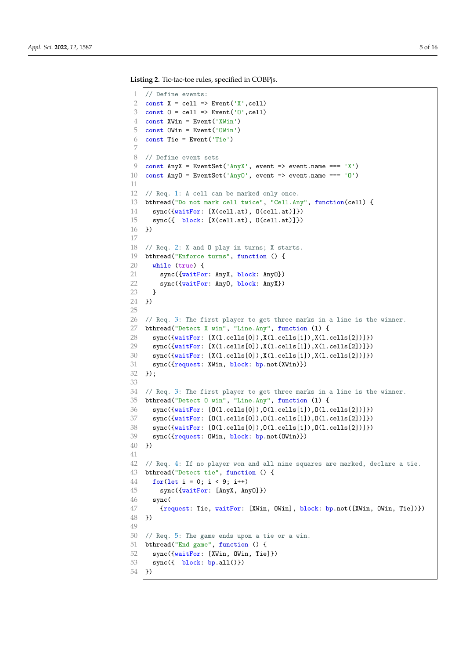```
Listing 2. Tic-tac-toe rules, specified in COBPjs.
```

```
1 // Define events:
 2 \vert const X = cell => Event('X', cell)
 3 \text{ const } 0 = \text{cell} \Rightarrow Event('0', cell)
 4 const XWin = Event ('XWin')
 5 const OWin = Event('OWin')
 6 \vert const Tie = Event('Tie')
7
8 // Define event sets
9 \vert const AnyX = EventSet('AnyX', event => event.name === 'X')
10 \vert const AnyO = EventSet('AnyO', event => event.name === 'O')
11
12 // Req. 1: A cell can be marked only once.
13 bthread("Do not mark cell twice", "Cell.Any", function(cell) {
14 sync({waitFor: [X(cell.at), O(cell.at)]})
15 sync({ block: [X(cell.at), 0(cell.at)]})
16 \downarrow \uparrow \rangle17
182: X and 0 play in turns; X starts.
19 bthread("Enforce turns", function () {
20 while (true) {
21 sync({waitFor: AnyX, block: AnyO})
22 sync({waitFor: AnyO, block: AnyX})
23 \mid \}24 (})
25
26 // Req. 3: The first player to get three marks in a line is the winner.
27 bthread("Detect X win", "Line.Any", function (1) {
28 | sync({waitFor: [X(1.cells[0]), X(1.cells[1]), X(1.cells[2])]})
29 \vert sync({waitFor: [X(1.cells[0]),X(1.cells[1]),X(1.cells[2])]})
30 | sync({waitFor: [X(1.cells[0]),X(1.cells[1]),X(1.cells[2])]})
31 | sync({request: XWin, block: bp.not(XWin)})
32 );
33
34 // Req. 3: The first player to get three marks in a line is the winner.
35 bthread("Detect O win", "Line.Any", function (l) {
36 sync({waitFor: [0(1.cells[0]), 0(1.cells[1]), 0(1.cells[2])]\})37 \mid sync({waitFor: [0(1.cells[0]), 0(1.cells[1]), 0(1.cells[2])]\})38 sync({waitFor: [0(1.cells[0]),0(1.cells[1]),0(1.cells[2])]\})39 | sync({request: OWin, block: bp.not(OWin)})
40 (})
41
42 // Req. 4: If no player won and all nine squares are marked, declare a tie.
43 bthread("Detect tie", function () {
44 for(let i = 0; i < 9; i++)
45 | sync({waitFor: [AnyX, AnyO]})
46 sync(
47 {request: Tie, waitFor: [XWin, OWin], block: bp.not([XWin, OWin, Tie])})
48 | \; \}49
50 \frac{1}{1} Req. 5: The game ends upon a tie or a win.
51 bthread("End game", function () {
52 sync({waitFor: [XWin, OWin, Tie]})
53 sync({ block: bp.all()})
54 \uparrow })
```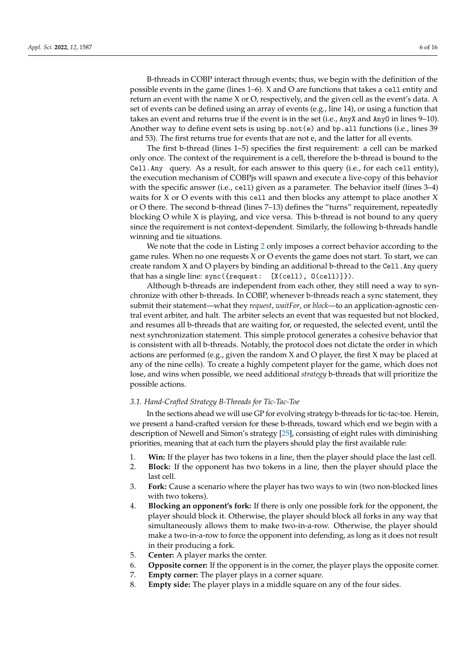B-threads in COBP interact through events; thus, we begin with the definition of the possible events in the game (lines 1–6). X and O are functions that takes a cell entity and return an event with the name X or O, respectively, and the given cell as the event's data. A set of events can be defined using an array of events (e.g., line 14), or using a function that takes an event and returns true if the event is in the set (i.e., AnyX and AnyO in lines 9–10). Another way to define event sets is using bp.not(e) and bp.all functions (i.e., lines 39 and 53). The first returns true for events that are not e, and the latter for all events.

The first b-thread (lines 1–5) specifies the first requirement: a cell can be marked only once. The context of the requirement is a cell, therefore the b-thread is bound to the Cell.Any query. As a result, for each answer to this query (i.e., for each cell entity), the execution mechanism of COBPjs will spawn and execute a live-copy of this behavior with the specific answer (i.e., cell) given as a parameter. The behavior itself (lines 3–4) waits for X or O events with this cell and then blocks any attempt to place another X or O there. The second b-thread (lines 7–13) defines the "turns" requirement, repeatedly blocking O while X is playing, and vice versa. This b-thread is not bound to any query since the requirement is not context-dependent. Similarly, the following b-threads handle winning and tie situations.

We note that the code in Listing [2](#page-3-3) only imposes a correct behavior according to the game rules. When no one requests X or O events the game does not start. To start, we can create random  $X$  and  $O$  players by binding an additional b-thread to the Ce11. Any query that has a single line: sync({request: [X(cell), O(cell)]}).

Although b-threads are independent from each other, they still need a way to synchronize with other b-threads. In COBP, whenever b-threads reach a sync statement, they submit their statement—what they *request*, *waitFor*, or *block*—to an application-agnostic central event arbiter, and halt. The arbiter selects an event that was requested but not blocked, and resumes all b-threads that are waiting for, or requested, the selected event, until the next synchronization statement. This simple protocol generates a cohesive behavior that is consistent with all b-threads. Notably, the protocol does not dictate the order in which actions are performed (e.g., given the random X and O player, the first X may be placed at any of the nine cells). To create a highly competent player for the game, which does not lose, and wins when possible, we need additional *strategy* b-threads that will prioritize the possible actions.

## *3.1. Hand-Crafted Strategy B-Threads for Tic-Tac-Toe*

In the sections ahead we will use GP for evolving strategy b-threads for tic-tac-toe. Herein, we present a hand-crafted version for these b-threads, toward which end we begin with a description of Newell and Simon's strategy [\[25\]](#page-15-5), consisting of eight rules with diminishing priorities, meaning that at each turn the players should play the first available rule:

- 1. **Win:** If the player has two tokens in a line, then the player should place the last cell.
- 2. **Block:** If the opponent has two tokens in a line, then the player should place the last cell.
- 3. **Fork:** Cause a scenario where the player has two ways to win (two non-blocked lines with two tokens).
- 4. **Blocking an opponent's fork:** If there is only one possible fork for the opponent, the player should block it. Otherwise, the player should block all forks in any way that simultaneously allows them to make two-in-a-row. Otherwise, the player should make a two-in-a-row to force the opponent into defending, as long as it does not result in their producing a fork.
- 5. **Center:** A player marks the center.
- 6. **Opposite corner:** If the opponent is in the corner, the player plays the opposite corner.
- 7. **Empty corner:** The player plays in a corner square.
- 8. **Empty side:** The player plays in a middle square on any of the four sides.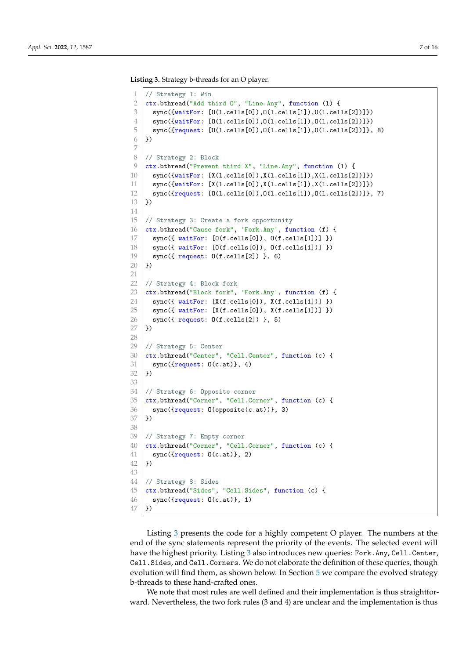<span id="page-6-0"></span>**Listing 3.** Strategy b-threads for an O player.

```
1 // Strategy 1: Win
 2 ctx.bthread("Add third 0", "Line.Any", function (1) {
 3 \mid \text{sync}(\{\text{waitFor: } [0(1.\text{cells}[0]), 0(1.\text{cells}[1]), 0(1.\text{cells}[2])]\})4 \mid \text{sync}(\{\text{waitFor: [0(1.cells[0]), 0(1.cells[1]), 0(1.cells[2])]\})5 \mid \text{sync}(\text{frequent}: [0(1.cells[0]), 0(1.cells[1]), 0(1.cells[2])]\}, 8)6 | })
 7
 8 // Strategy 2: Block
 9 ctx.bthread("Prevent third X", "Line.Any", function (1) {
10 \vert sync({waitFor: [X(1.cells[0]), X(1.cells[1]), X(1.cells[2])]})
11 | sync({waitFor: [X(1.cells[0]), X(1.cells[1]), X(1.cells[2])]})
12 \mid \text{sync}(\text{frequent}: [0(1.\text{cells}[0]), 0(1.\text{cells}[1]), 0(1.\text{cells}[2])]\}, 7)13 \vert \})
14
15 // Strategy 3: Create a fork opportunity
16 ctx.bthread("Cause fork", 'Fork.Any', function (f) {
17 sync({ waitFor: [0(f. cells[0]), 0(f. cells[1])] })
18 sync({ waitFor: [0(f. cells[0]), 0(f. cells[1])] })
19 | sync({\text{request}: 0(f.cells[2]) }, 6)20 \mid \}21
22 // Strategy 4: Block fork
23 ctx.bthread("Block fork", 'Fork.Any', function (f) {
24 sync({ waitFor: [X(f.\text{cells}[0]), X(f.\text{cells}[1])] })
25 | sync({u^2 waitFor: [X(f.cells[0]), X(f.cells[1])] })
26 | sync({\text{request}: 0(f.cells[2]) }, 5)27 \big| })
28
    // Strategy 5: Center
30 ctx.bthread("Center", "Cell.Center", function (c) {
31 sync({request: 0(c.at)}, 4)
32 | })
33
34 // Strategy 6: Opposite corner
35 ctx.bthread("Corner", "Cell.Corner", function (c) {
\begin{array}{c|c}\n 36 & \text{sync}(\text{frequent: 0 (opposite (c.at))}, 3)\n 37 & \text{)}\n \end{array})38
39 // Strategy 7: Empty corner
40 ctx.bthread("Corner", "Cell.Corner", function (c) {
41 sync({request: 0(c.at)}, 2)
42 ( })
43
44 // Strategy 8: Sides
45 ctx.bthread("Sides", "Cell.Sides", function (c) {
46 | sync(\text{request}: 0(c.at)\}, 1)47 ( })
```
Listing [3](#page-6-0) presents the code for a highly competent O player. The numbers at the end of the sync statements represent the priority of the events. The selected event will have the highest priority. Listing [3](#page-6-0) also introduces new queries: Fork.Any, Cell.Center, Cell.Sides, and Cell.Corners. We do not elaborate the definition of these queries, though evolution will find them, as shown below. In Section [5](#page-10-0) we compare the evolved strategy b-threads to these hand-crafted ones.

We note that most rules are well defined and their implementation is thus straightforward. Nevertheless, the two fork rules (3 and 4) are unclear and the implementation is thus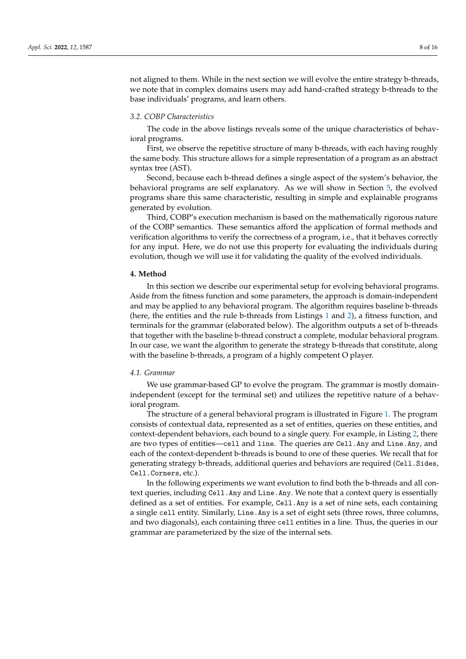not aligned to them. While in the next section we will evolve the entire strategy b-threads, we note that in complex domains users may add hand-crafted strategy b-threads to the base individuals' programs, and learn others.

## *3.2. COBP Characteristics*

The code in the above listings reveals some of the unique characteristics of behavioral programs.

First, we observe the repetitive structure of many b-threads, with each having roughly the same body. This structure allows for a simple representation of a program as an abstract syntax tree (AST).

Second, because each b-thread defines a single aspect of the system's behavior, the behavioral programs are self explanatory. As we will show in Section [5,](#page-10-0) the evolved programs share this same characteristic, resulting in simple and explainable programs generated by evolution.

Third, COBP's execution mechanism is based on the mathematically rigorous nature of the COBP semantics. These semantics afford the application of formal methods and verification algorithms to verify the correctness of a program, i.e., that it behaves correctly for any input. Here, we do not use this property for evaluating the individuals during evolution, though we will use it for validating the quality of the evolved individuals.

#### <span id="page-7-0"></span>**4. Method**

In this section we describe our experimental setup for evolving behavioral programs. Aside from the fitness function and some parameters, the approach is domain-independent and may be applied to any behavioral program. The algorithm requires baseline b-threads (here, the entities and the rule b-threads from Listings [1](#page-3-2) and [2\)](#page-3-3), a fitness function, and terminals for the grammar (elaborated below). The algorithm outputs a set of b-threads that together with the baseline b-thread construct a complete, modular behavioral program. In our case, we want the algorithm to generate the strategy b-threads that constitute, along with the baseline b-threads, a program of a highly competent O player.

#### *4.1. Grammar*

We use grammar-based GP to evolve the program. The grammar is mostly domainindependent (except for the terminal set) and utilizes the repetitive nature of a behavioral program.

The structure of a general behavioral program is illustrated in Figure [1.](#page-8-0) The program consists of contextual data, represented as a set of entities, queries on these entities, and context-dependent behaviors, each bound to a single query. For example, in Listing [2,](#page-3-3) there are two types of entities—cell and line. The queries are Cell.Any and Line.Any, and each of the context-dependent b-threads is bound to one of these queries. We recall that for generating strategy b-threads, additional queries and behaviors are required (Ce11. Sides, Cell.Corners, etc.).

In the following experiments we want evolution to find both the b-threads and all context queries, including Cell.Any and Line.Any. We note that a context query is essentially defined as a set of entities. For example, Cell.Any is a set of nine sets, each containing a single cell entity. Similarly, Line.Any is a set of eight sets (three rows, three columns, and two diagonals), each containing three cell entities in a line. Thus, the queries in our grammar are parameterized by the size of the internal sets.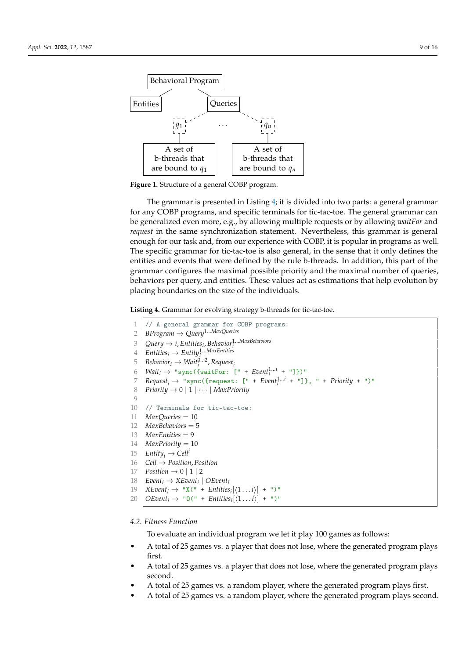<span id="page-8-0"></span>

**Figure 1.** Structure of a general COBP program.

The grammar is presented in Listing [4;](#page-8-1) it is divided into two parts: a general grammar for any COBP programs, and specific terminals for tic-tac-toe. The general grammar can be generalized even more, e.g., by allowing multiple requests or by allowing *waitFor* and *request* in the same synchronization statement. Nevertheless, this grammar is general enough for our task and, from our experience with COBP, it is popular in programs as well. The specific grammar for tic-tac-toe is also general, in the sense that it only defines the entities and events that were defined by the rule b-threads. In addition, this part of the grammar configures the maximal possible priority and the maximal number of queries, behaviors per query, and entities. These values act as estimations that help evolution by placing boundaries on the size of the individuals.

<span id="page-8-1"></span>**Listing 4.** Grammar for evolving strategy b-threads for tic-tac-toe.

```
1 // A general grammar for COBP programs:
 2 BProgram → Query1...MaxQueries
  \beta \mid Query \rightarrow i, Entities<sub>i</sub>, Behavior_i^{1...MaxB}ehaviors
  4 \left| \textit{Entities}_i \rightarrow \textit{Entity}_i^{\{1...MaxEntities}\}\right|5 \left( \textit{Behavior}_i \rightarrow \textit{Wait}_i^{0...2}, \textit{Request}_i \right)6 \left| \text{Wait}_i \rightarrow \text{ "sync}(\text{WaitFor: } [\text{'' + Event}_i^{1...i} + \text{''}]\}) \right|7 \left( \text{Request}_i \rightarrow \text{ "sync}(\text{frequest}: \text{ ['r } + \text{Event}_i^{1...i} + \text{ "]}\}, \text{ "r } + \text{Priority + \text{ "]}}\right)8 \vert Priority \rightarrow 0 \vert 1 \vert \cdots \vert MaxPriority
 9
10 // Terminals for tic-tac-toe:
11 MaxQueries = 10
12 MaxBehaviors = 513 MaxEntities = 9
14 MaxPriority = 1015 \left| \begin{array}{c} \text{Entity}_i \rightarrow \text{Cell}^i \\ \text{Cell} \rightarrow \text{Position} \end{array} \right|16 Cell → Position, Position
17 | Position \rightarrow 0 | 1 | 2
18 | Event<sub>i</sub> \rightarrow XEvent<sub>i</sub> | OEvent<sub>i</sub>
19 \left[ \text{XEvent}_i \rightarrow \text{``X(" + Entities}_i[\langle 1 \dots i \rangle] + \text{''}) \right]"
20 \left[OEvent_i \rightarrow "0(" + Entities_i[\langle 1... i \rangle] +")"
```
*4.2. Fitness Function*

To evaluate an individual program we let it play 100 games as follows:

- A total of 25 games vs. a player that does not lose, where the generated program plays first.
- A total of 25 games vs. a player that does not lose, where the generated program plays second.
- A total of 25 games vs. a random player, where the generated program plays first.
- A total of 25 games vs. a random player, where the generated program plays second.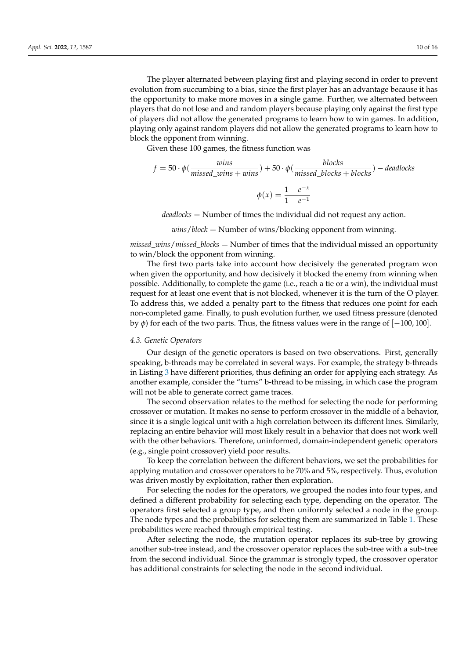The player alternated between playing first and playing second in order to prevent evolution from succumbing to a bias, since the first player has an advantage because it has the opportunity to make more moves in a single game. Further, we alternated between players that do not lose and and random players because playing only against the first type of players did not allow the generated programs to learn how to win games. In addition, playing only against random players did not allow the generated programs to learn how to block the opponent from winning.

Given these 100 games, the fitness function was

$$
f = 50 \cdot \phi(\frac{wins}{missed\_wins + wins}) + 50 \cdot \phi(\frac{blocks}{missed\_blocks + blocks}) - deadlocks
$$

$$
\phi(x) = \frac{1 - e^{-x}}{1 - e^{-1}}
$$

*deadlocks* = Number of times the individual did not request any action.

*wins*/*block* = Number of wins/blocking opponent from winning.

*missed*\_*wins*/*missed*\_*blocks* = Number of times that the individual missed an opportunity to win/block the opponent from winning.

The first two parts take into account how decisively the generated program won when given the opportunity, and how decisively it blocked the enemy from winning when possible. Additionally, to complete the game (i.e., reach a tie or a win), the individual must request for at least one event that is not blocked, whenever it is the turn of the O player. To address this, we added a penalty part to the fitness that reduces one point for each non-completed game. Finally, to push evolution further, we used fitness pressure (denoted by *φ*) for each of the two parts. Thus, the fitness values were in the range of  $[-100, 100]$ .

## <span id="page-9-0"></span>*4.3. Genetic Operators*

Our design of the genetic operators is based on two observations. First, generally speaking, b-threads may be correlated in several ways. For example, the strategy b-threads in Listing [3](#page-6-0) have different priorities, thus defining an order for applying each strategy. As another example, consider the "turns" b-thread to be missing, in which case the program will not be able to generate correct game traces.

The second observation relates to the method for selecting the node for performing crossover or mutation. It makes no sense to perform crossover in the middle of a behavior, since it is a single logical unit with a high correlation between its different lines. Similarly, replacing an entire behavior will most likely result in a behavior that does not work well with the other behaviors. Therefore, uninformed, domain-independent genetic operators (e.g., single point crossover) yield poor results.

To keep the correlation between the different behaviors, we set the probabilities for applying mutation and crossover operators to be 70% and 5%, respectively. Thus, evolution was driven mostly by exploitation, rather then exploration.

For selecting the nodes for the operators, we grouped the nodes into four types, and defined a different probability for selecting each type, depending on the operator. The operators first selected a group type, and then uniformly selected a node in the group. The node types and the probabilities for selecting them are summarized in Table [1.](#page-10-1) These probabilities were reached through empirical testing.

After selecting the node, the mutation operator replaces its sub-tree by growing another sub-tree instead, and the crossover operator replaces the sub-tree with a sub-tree from the second individual. Since the grammar is strongly typed, the crossover operator has additional constraints for selecting the node in the second individual.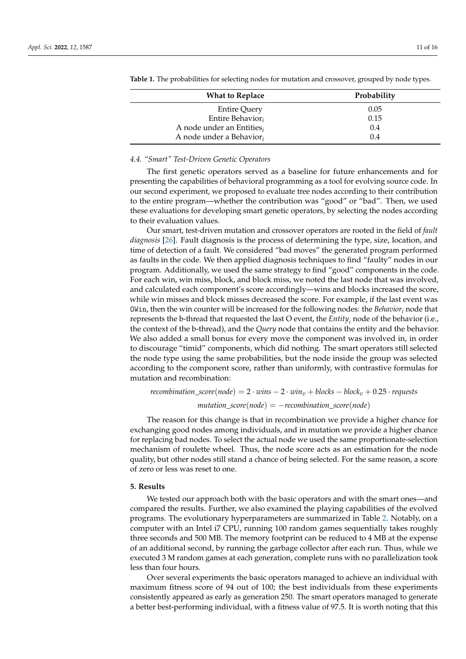| <b>What to Replace</b>        | Probability |
|-------------------------------|-------------|
| <b>Entire Query</b>           | 0.05        |
| Entire Behavior;              | 0.15        |
| A node under an Entities $_i$ | 0.4         |
| A node under a Behavior,      | 0.4         |

<span id="page-10-1"></span>**Table 1.** The probabilities for selecting nodes for mutation and crossover, grouped by node types.

## *4.4. "Smart" Test-Driven Genetic Operators*

The first genetic operators served as a baseline for future enhancements and for presenting the capabilities of behavioral programming as a tool for evolving source code. In our second experiment, we proposed to evaluate tree nodes according to their contribution to the entire program—whether the contribution was "good" or "bad". Then, we used these evaluations for developing smart genetic operators, by selecting the nodes according to their evaluation values.

Our smart, test-driven mutation and crossover operators are rooted in the field of *fault diagnosis* [\[26\]](#page-15-6). Fault diagnosis is the process of determining the type, size, location, and time of detection of a fault. We considered "bad moves" the generated program performed as faults in the code. We then applied diagnosis techniques to find "faulty" nodes in our program. Additionally, we used the same strategy to find "good" components in the code. For each win, win miss, block, and block miss, we noted the last node that was involved, and calculated each component's score accordingly—wins and blocks increased the score, while win misses and block misses decreased the score. For example, if the last event was OWin, then the win counter will be increased for the following nodes: the *Behavior<sup>i</sup>* node that represents the b-thread that requested the last O event, the *Entity<sup>i</sup>* node of the behavior (i.e., the context of the b-thread), and the *Query* node that contains the entity and the behavior. We also added a small bonus for every move the component was involved in, in order to discourage "timid" components, which did nothing. The smart operators still selected the node type using the same probabilities, but the node inside the group was selected according to the component score, rather than uniformly, with contrastive formulas for mutation and recombination:

*recombination\_score*(*node*) =  $2 \cdot wins - 2 \cdot win_v + blocks - block_v + 0.25 \cdot requests$  $mutation\_score(node) = -recombination\_score(node)$ 

The reason for this change is that in recombination we provide a higher chance for exchanging good nodes among individuals, and in mutation we provide a higher chance for replacing bad nodes. To select the actual node we used the same proportionate-selection mechanism of roulette wheel. Thus, the node score acts as an estimation for the node quality, but other nodes still stand a chance of being selected. For the same reason, a score of zero or less was reset to one.

#### <span id="page-10-0"></span>**5. Results**

We tested our approach both with the basic operators and with the smart ones—and compared the results. Further, we also examined the playing capabilities of the evolved programs. The evolutionary hyperparameters are summarized in Table [2.](#page-11-0) Notably, on a computer with an Intel i7 CPU, running 100 random games sequentially takes roughly three seconds and 500 MB. The memory footprint can be reduced to 4 MB at the expense of an additional second, by running the garbage collector after each run. Thus, while we executed 3 M random games at each generation, complete runs with no parallelization took less than four hours.

Over several experiments the basic operators managed to achieve an individual with maximum fitness score of 94 out of 100; the best individuals from these experiments consistently appeared as early as generation 250. The smart operators managed to generate a better best-performing individual, with a fitness value of 97.5. It is worth noting that this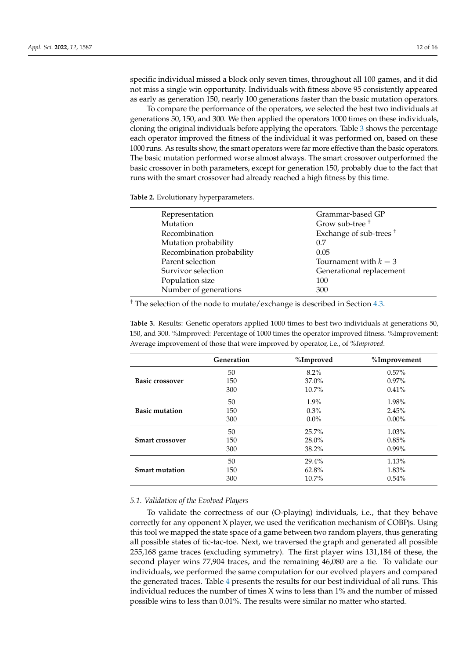specific individual missed a block only seven times, throughout all 100 games, and it did not miss a single win opportunity. Individuals with fitness above 95 consistently appeared

as early as generation 150, nearly 100 generations faster than the basic mutation operators. To compare the performance of the operators, we selected the best two individuals at generations 50, 150, and 300. We then applied the operators 1000 times on these individuals, cloning the original individuals before applying the operators. Table [3](#page-11-1) shows the percentage each operator improved the fitness of the individual it was performed on, based on these 1000 runs. As results show, the smart operators were far more effective than the basic operators. The basic mutation performed worse almost always. The smart crossover outperformed the basic crossover in both parameters, except for generation 150, probably due to the fact that runs with the smart crossover had already reached a high fitness by this time.

<span id="page-11-0"></span>**Table 2.** Evolutionary hyperparameters.

| Representation            | Grammar-based GP                   |
|---------------------------|------------------------------------|
| <b>Mutation</b>           | Grow sub-tree <sup>+</sup>         |
| Recombination             | Exchange of sub-trees <sup>†</sup> |
| Mutation probability      | 0.7                                |
| Recombination probability | 0.05                               |
| Parent selection          | Tournament with $k = 3$            |
| Survivor selection        | Generational replacement           |
| Population size           | 100                                |
| Number of generations     | 300                                |

† The selection of the node to mutate/exchange is described in Section [4.3.](#page-9-0)

<span id="page-11-1"></span>**Table 3.** Results: Genetic operators applied 1000 times to best two individuals at generations 50, 150, and 300. %Improved: Percentage of 1000 times the operator improved fitness. %Improvement: Average improvement of those that were improved by operator, i.e., of *%Improved*.

|                        | Generation | %Improved | %Improvement |
|------------------------|------------|-----------|--------------|
|                        | 50         | $8.2\%$   | $0.57\%$     |
| <b>Basic crossover</b> | 150        | $37.0\%$  | $0.97\%$     |
|                        | 300        | $10.7\%$  | $0.41\%$     |
|                        | 50         | $1.9\%$   | 1.98%        |
| <b>Basic mutation</b>  | 150        | $0.3\%$   | 2.45%        |
|                        | 300        | $0.0\%$   | $0.00\%$     |
|                        | 50         | 25.7%     | 1.03%        |
| <b>Smart crossover</b> | 150        | $28.0\%$  | 0.85%        |
|                        | 300        | 38.2%     | $0.99\%$     |
|                        | 50         | 29.4%     | 1.13%        |
| <b>Smart mutation</b>  | 150        | 62.8%     | 1.83%        |
|                        | 300        | $10.7\%$  | 0.54%        |

## *5.1. Validation of the Evolved Players*

To validate the correctness of our (O-playing) individuals, i.e., that they behave correctly for any opponent X player, we used the verification mechanism of COBPjs. Using this tool we mapped the state space of a game between two random players, thus generating all possible states of tic-tac-toe. Next, we traversed the graph and generated all possible 255,168 game traces (excluding symmetry). The first player wins 131,184 of these, the second player wins 77,904 traces, and the remaining 46,080 are a tie. To validate our individuals, we performed the same computation for our evolved players and compared the generated traces. Table [4](#page-12-0) presents the results for our best individual of all runs. This individual reduces the number of times X wins to less than 1% and the number of missed possible wins to less than 0.01%. The results were similar no matter who started.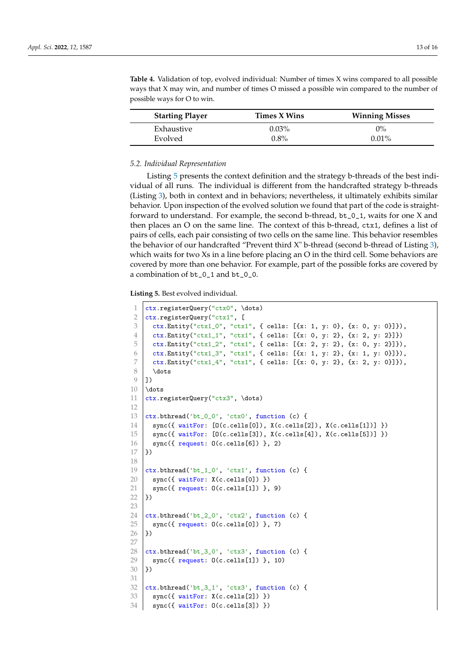| <b>Starting Player</b> | Times X Wins | <b>Winning Misses</b> |
|------------------------|--------------|-----------------------|
| Exhaustive             | $0.03\%$     | $0\%$                 |
| Evolved                | $0.8\%$      | $0.01\%$              |

<span id="page-12-0"></span>**Table 4.** Validation of top, evolved individual: Number of times X wins compared to all possible ways that X may win, and number of times O missed a possible win compared to the number of possible ways for O to win.

#### *5.2. Individual Representation*

Listing [5](#page-12-1) presents the context definition and the strategy b-threads of the best individual of all runs. The individual is different from the handcrafted strategy b-threads (Listing [3\)](#page-6-0), both in context and in behaviors; nevertheless, it ultimately exhibits similar behavior. Upon inspection of the evolved solution we found that part of the code is straightforward to understand. For example, the second b-thread, bt\_0\_1, waits for one X and then places an O on the same line. The context of this b-thread, ctx1, defines a list of pairs of cells, each pair consisting of two cells on the same line. This behavior resembles the behavior of our handcrafted "Prevent third X" b-thread (second b-thread of Listing [3\)](#page-6-0), which waits for two Xs in a line before placing an O in the third cell. Some behaviors are covered by more than one behavior. For example, part of the possible forks are covered by a combination of bt\_0\_1 and bt\_0\_0.

<span id="page-12-1"></span>**Listing 5.** Best evolved individual.

```
1 ctx.registerQuery("ctx0", \dots)
2 ctx.registerQuery("ctx1", [
3 \mid \text{ctx.Entity("ctx1_0", "ctx1", { cells: [{x: 1, y: 0}, {x: 0, y: 0}}]),4 ctx.Entity("ctx1_1", "ctx1", { cells: [{x: 0, y: 2}, {x: 2, y: 2}]})
5 ctx.Entity("ctx1_2", "ctx1", { cells: [{x: 2, y: 2}, {x: 0, y: 2}]}),
6 ctx.Entity("ctx1_3", "ctx1", { cells: [{x: 1, y: 2}, {x: 1, y: 0}})),
7 ctx.Entity("ctx1_4", "ctx1", { cells: [{x: 0, y: 2}, {x: 2, y: 0}]}),
8 \dots
9 \mid 110 \vert \dots11 ctx.registerQuery("ctx3", \dots)
12
13 ctx.bthread('bt_0_0', 'ctx0', function (c) {
14 sync({ waitFor: [0(c.cells[0]), X(c.cells[2]), X(c.cells[1])]})
15 sync({ waitFor: [0(c.cells[3]), X(c.cells[4]), X(c.cells[5])]})
16 sync({ request: 0(c.cells[6]) }, 2)
17 \rightarrow \rightarrow18
19 ctx.bthread('bt_1_0', 'ctx1', function (c) {
20 | sync({uaitFor: X(c.cells[0]) })
21 | sync({ request: 0(c.cells[1]) }, 9)
22 \mid \}23
24 ctx.bthread('bt_2_0', 'ctx2', function (c) {
25 sync({ request: 0(c.cells[0]) }, 7)
26 (})
27
28 ctx.bthread('bt_3_0', 'ctx3', function (c) {
29 sync({\{ \text{ request}: 0(c.cells[1]) \}, 10})30 | })
31
32 ctx.bthread('bt_3_1', 'ctx3', function (c) {
33 sync({ waitFor: X(c.cells[2]) })
34 sync({ waitFor: 0(c.cells[3]) })
```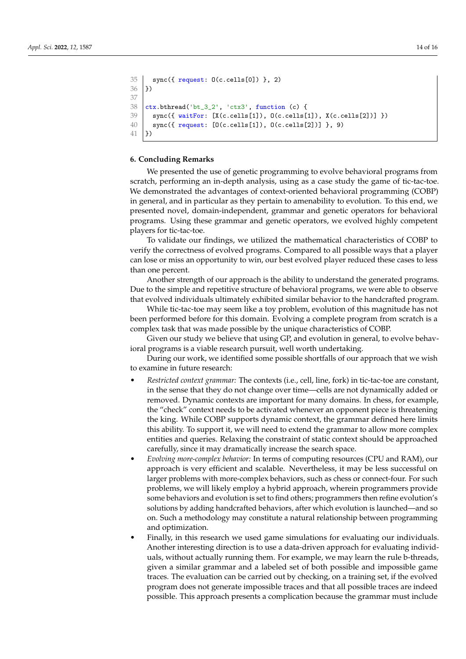```
35 sync({ request: 0(c.cells[0]) }, 2)
36 \big| })
37
38 ctx. bthread('bt_3_2', 'ctx3', function (c) {
39 sync({ waitFor: [X(c.cells[1]), O(c.cells[1]), X(c.cells[2])] })
40 sync({ request: [0(c.cells[1]), 0(c.cells[2])] }, 9)
41 })
```
## <span id="page-13-0"></span>**6. Concluding Remarks**

We presented the use of genetic programming to evolve behavioral programs from scratch, performing an in-depth analysis, using as a case study the game of tic-tac-toe. We demonstrated the advantages of context-oriented behavioral programming (COBP) in general, and in particular as they pertain to amenability to evolution. To this end, we presented novel, domain-independent, grammar and genetic operators for behavioral programs. Using these grammar and genetic operators, we evolved highly competent players for tic-tac-toe.

To validate our findings, we utilized the mathematical characteristics of COBP to verify the correctness of evolved programs. Compared to all possible ways that a player can lose or miss an opportunity to win, our best evolved player reduced these cases to less than one percent.

Another strength of our approach is the ability to understand the generated programs. Due to the simple and repetitive structure of behavioral programs, we were able to observe that evolved individuals ultimately exhibited similar behavior to the handcrafted program.

While tic-tac-toe may seem like a toy problem, evolution of this magnitude has not been performed before for this domain. Evolving a complete program from scratch is a complex task that was made possible by the unique characteristics of COBP.

Given our study we believe that using GP, and evolution in general, to evolve behavioral programs is a viable research pursuit, well worth undertaking.

During our work, we identified some possible shortfalls of our approach that we wish to examine in future research:

- *Restricted context grammar:* The contexts (i.e., cell, line, fork) in tic-tac-toe are constant, in the sense that they do not change over time—cells are not dynamically added or removed. Dynamic contexts are important for many domains. In chess, for example, the "check" context needs to be activated whenever an opponent piece is threatening the king. While COBP supports dynamic context, the grammar defined here limits this ability. To support it, we will need to extend the grammar to allow more complex entities and queries. Relaxing the constraint of static context should be approached carefully, since it may dramatically increase the search space.
- *Evolving more-complex behavior:* In terms of computing resources (CPU and RAM), our approach is very efficient and scalable. Nevertheless, it may be less successful on larger problems with more-complex behaviors, such as chess or connect-four. For such problems, we will likely employ a hybrid approach, wherein programmers provide some behaviors and evolution is set to find others; programmers then refine evolution's solutions by adding handcrafted behaviors, after which evolution is launched—and so on. Such a methodology may constitute a natural relationship between programming and optimization.
- Finally, in this research we used game simulations for evaluating our individuals. Another interesting direction is to use a data-driven approach for evaluating individuals, without actually running them. For example, we may learn the rule b-threads, given a similar grammar and a labeled set of both possible and impossible game traces. The evaluation can be carried out by checking, on a training set, if the evolved program does not generate impossible traces and that all possible traces are indeed possible. This approach presents a complication because the grammar must include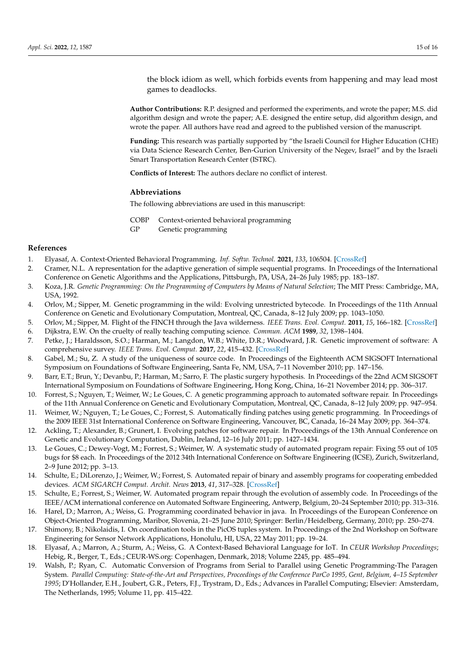the block idiom as well, which forbids events from happening and may lead most games to deadlocks.

**Author Contributions:** R.P. designed and performed the experiments, and wrote the paper; M.S. did algorithm design and wrote the paper; A.E. designed the entire setup, did algorithm design, and wrote the paper. All authors have read and agreed to the published version of the manuscript.

**Funding:** This research was partially supported by "the Israeli Council for Higher Education (CHE) via Data Science Research Center, Ben-Gurion University of the Negev, Israel" and by the Israeli Smart Transportation Research Center (ISTRC).

**Conflicts of Interest:** The authors declare no conflict of interest.

#### **Abbreviations**

The following abbreviations are used in this manuscript:

COBP Context-oriented behavioral programming

GP Genetic programming

#### **References**

- <span id="page-14-0"></span>1. Elyasaf, A. Context-Oriented Behavioral Programming. *Inf. Softw. Technol.* **2021**, *133*, 106504. [\[CrossRef\]](http://doi.org/10.1016/j.infsof.2020.106504)
- <span id="page-14-1"></span>2. Cramer, N.L. A representation for the adaptive generation of simple sequential programs. In Proceedings of the International Conference on Genetic Algorithms and the Applications, Pittsburgh, PA, USA, 24–26 July 1985; pp. 183–187.
- <span id="page-14-2"></span>3. Koza, J.R. *Genetic Programming: On the Programming of Computers by Means of Natural Selection*; The MIT Press: Cambridge, MA, USA, 1992.
- <span id="page-14-3"></span>4. Orlov, M.; Sipper, M. Genetic programming in the wild: Evolving unrestricted bytecode. In Proceedings of the 11th Annual Conference on Genetic and Evolutionary Computation, Montreal, QC, Canada, 8–12 July 2009; pp. 1043–1050.
- <span id="page-14-5"></span><span id="page-14-4"></span>5. Orlov, M.; Sipper, M. Flight of the FINCH through the Java wilderness. *IEEE Trans. Evol. Comput.* **2011**, *15*, 166–182. [\[CrossRef\]](http://dx.doi.org/10.1109/TEVC.2010.2052622) 6. Dijkstra, E.W. On the cruelty of really teaching computing science. *Commun. ACM* **1989**, *32*, 1398–1404.
- <span id="page-14-6"></span>7. Petke, J.; Haraldsson, S.O.; Harman, M.; Langdon, W.B.; White, D.R.; Woodward, J.R. Genetic improvement of software: A comprehensive survey. *IEEE Trans. Evol. Comput.* **2017**, *22*, 415–432. [\[CrossRef\]](http://dx.doi.org/10.1109/TEVC.2017.2693219)
- <span id="page-14-7"></span>8. Gabel, M.; Su, Z. A study of the uniqueness of source code. In Proceedings of the Eighteenth ACM SIGSOFT International Symposium on Foundations of Software Engineering, Santa Fe, NM, USA, 7–11 November 2010; pp. 147–156.
- <span id="page-14-8"></span>9. Barr, E.T.; Brun, Y.; Devanbu, P.; Harman, M.; Sarro, F. The plastic surgery hypothesis. In Proceedings of the 22nd ACM SIGSOFT International Symposium on Foundations of Software Engineering, Hong Kong, China, 16–21 November 2014; pp. 306–317.
- <span id="page-14-9"></span>10. Forrest, S.; Nguyen, T.; Weimer, W.; Le Goues, C. A genetic programming approach to automated software repair. In Proceedings of the 11th Annual Conference on Genetic and Evolutionary Computation, Montreal, QC, Canada, 8–12 July 2009; pp. 947–954.
- <span id="page-14-10"></span>11. Weimer, W.; Nguyen, T.; Le Goues, C.; Forrest, S. Automatically finding patches using genetic programming. In Proceedings of the 2009 IEEE 31st International Conference on Software Engineering, Vancouver, BC, Canada, 16–24 May 2009; pp. 364–374.
- <span id="page-14-11"></span>12. Ackling, T.; Alexander, B.; Grunert, I. Evolving patches for software repair. In Proceedings of the 13th Annual Conference on Genetic and Evolutionary Computation, Dublin, Ireland, 12–16 July 2011; pp. 1427–1434.
- <span id="page-14-12"></span>13. Le Goues, C.; Dewey-Vogt, M.; Forrest, S.; Weimer, W. A systematic study of automated program repair: Fixing 55 out of 105 bugs for \$8 each. In Proceedings of the 2012 34th International Conference on Software Engineering (ICSE), Zurich, Switzerland, 2–9 June 2012; pp. 3–13.
- <span id="page-14-13"></span>14. Schulte, E.; DiLorenzo, J.; Weimer, W.; Forrest, S. Automated repair of binary and assembly programs for cooperating embedded devices. *ACM SIGARCH Comput. Archit. News* **2013**, *41*, 317–328. [\[CrossRef\]](http://dx.doi.org/10.1145/2490301.2451151)
- <span id="page-14-14"></span>15. Schulte, E.; Forrest, S.; Weimer, W. Automated program repair through the evolution of assembly code. In Proceedings of the IEEE/ACM international conference on Automated Software Engineering, Antwerp, Belgium, 20–24 September 2010; pp. 313–316.
- <span id="page-14-15"></span>16. Harel, D.; Marron, A.; Weiss, G. Programming coordinated behavior in java. In Proceedings of the European Conference on Object-Oriented Programming, Maribor, Slovenia, 21–25 June 2010; Springer: Berlin/Heidelberg, Germany, 2010; pp. 250–274.
- <span id="page-14-16"></span>17. Shimony, B.; Nikolaidis, I. On coordination tools in the PicOS tuples system. In Proceedings of the 2nd Workshop on Software Engineering for Sensor Network Applications, Honolulu, HI, USA, 22 May 2011; pp. 19–24.
- <span id="page-14-17"></span>18. Elyasaf, A.; Marron, A.; Sturm, A.; Weiss, G. A Context-Based Behavioral Language for IoT. In *CEUR Workshop Proceedings*; Hebig, R., Berger, T., Eds.; CEUR-WS.org: Copenhagen, Denmark, 2018; Volume 2245, pp. 485–494.
- <span id="page-14-18"></span>19. Walsh, P.; Ryan, C. Automatic Conversion of Programs from Serial to Parallel using Genetic Programming-The Paragen System. *Parallel Computing: State-of-the-Art and Perspectives, Proceedings of the Conference ParCo 1995, Gent, Belgium, 4–15 September 1995*; D'Hollander, E.H., Joubert, G.R., Peters, F.J., Trystram, D., Eds.; Advances in Parallel Computing; Elsevier: Amsterdam, The Netherlands, 1995; Volume 11, pp. 415–422.